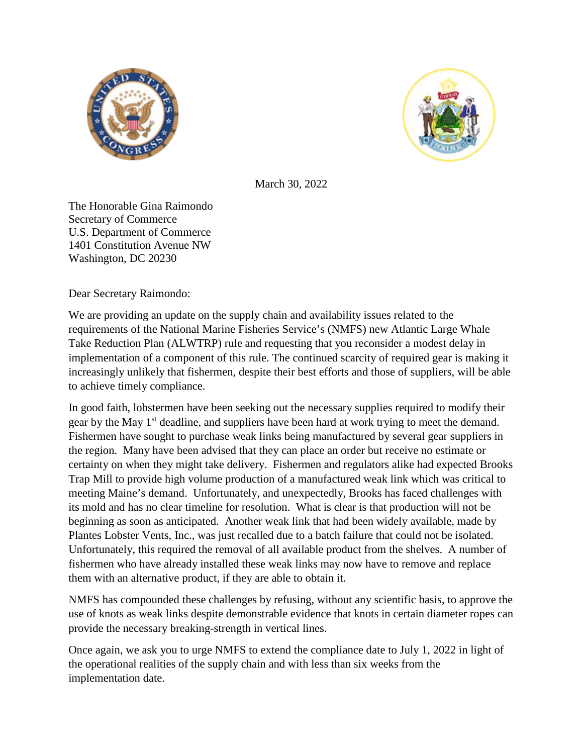



March 30, 2022

The Honorable Gina Raimondo Secretary of Commerce U.S. Department of Commerce 1401 Constitution Avenue NW Washington, DC 20230

Dear Secretary Raimondo:

We are providing an update on the supply chain and availability issues related to the requirements of the National Marine Fisheries Service's (NMFS) new Atlantic Large Whale Take Reduction Plan (ALWTRP) rule and requesting that you reconsider a modest delay in implementation of a component of this rule. The continued scarcity of required gear is making it increasingly unlikely that fishermen, despite their best efforts and those of suppliers, will be able to achieve timely compliance.

In good faith, lobstermen have been seeking out the necessary supplies required to modify their gear by the May 1<sup>st</sup> deadline, and suppliers have been hard at work trying to meet the demand. Fishermen have sought to purchase weak links being manufactured by several gear suppliers in the region. Many have been advised that they can place an order but receive no estimate or certainty on when they might take delivery. Fishermen and regulators alike had expected Brooks Trap Mill to provide high volume production of a manufactured weak link which was critical to meeting Maine's demand. Unfortunately, and unexpectedly, Brooks has faced challenges with its mold and has no clear timeline for resolution. What is clear is that production will not be beginning as soon as anticipated. Another weak link that had been widely available, made by Plantes Lobster Vents, Inc., was just recalled due to a batch failure that could not be isolated. Unfortunately, this required the removal of all available product from the shelves. A number of fishermen who have already installed these weak links may now have to remove and replace them with an alternative product, if they are able to obtain it.

NMFS has compounded these challenges by refusing, without any scientific basis, to approve the use of knots as weak links despite demonstrable evidence that knots in certain diameter ropes can provide the necessary breaking-strength in vertical lines.

Once again, we ask you to urge NMFS to extend the compliance date to July 1, 2022 in light of the operational realities of the supply chain and with less than six weeks from the implementation date.